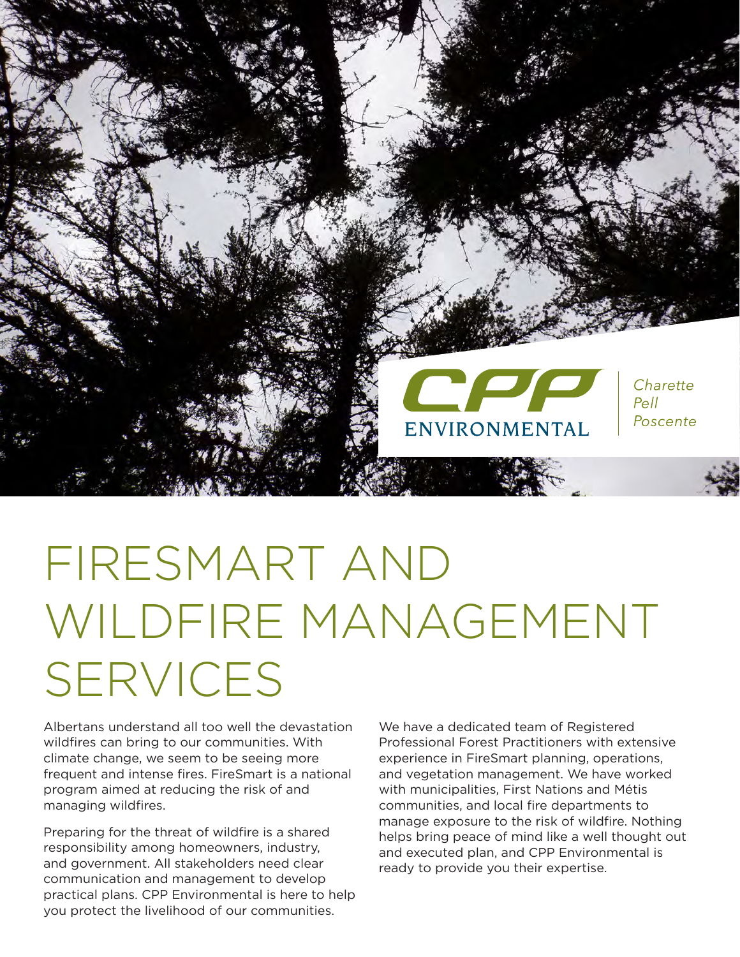

# FIRESMART AND WILDFIRE MANAGEMENT SERVICES

Albertans understand all too well the devastation wildfires can bring to our communities. With climate change, we seem to be seeing more frequent and intense fires. FireSmart is a national program aimed at reducing the risk of and managing wildfires.

Preparing for the threat of wildfire is a shared responsibility among homeowners, industry, and government. All stakeholders need clear communication and management to develop practical plans. CPP Environmental is here to help you protect the livelihood of our communities.

We have a dedicated team of Registered Professional Forest Practitioners with extensive experience in FireSmart planning, operations, and vegetation management. We have worked with municipalities, First Nations and Métis communities, and local fire departments to manage exposure to the risk of wildfire. Nothing helps bring peace of mind like a well thought out and executed plan, and CPP Environmental is ready to provide you their expertise.